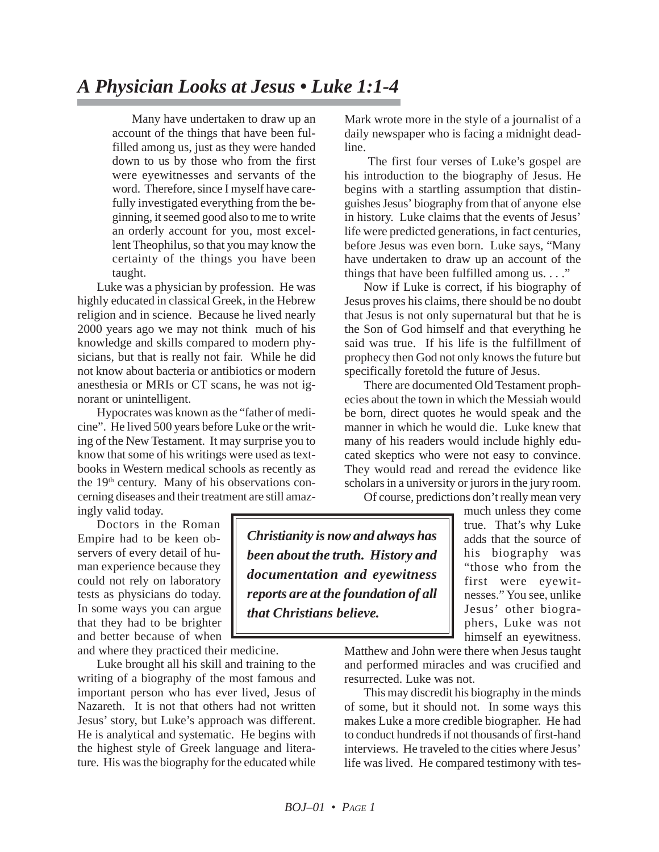Many have undertaken to draw up an account of the things that have been fulfilled among us, just as they were handed down to us by those who from the first were eyewitnesses and servants of the word. Therefore, since I myself have carefully investigated everything from the beginning, it seemed good also to me to write an orderly account for you, most excellent Theophilus, so that you may know the certainty of the things you have been taught.

Luke was a physician by profession. He was highly educated in classical Greek, in the Hebrew religion and in science. Because he lived nearly 2000 years ago we may not think much of his knowledge and skills compared to modern physicians, but that is really not fair. While he did not know about bacteria or antibiotics or modern anesthesia or MRIs or CT scans, he was not ignorant or unintelligent.

Hypocrates was known as the "father of medicine". He lived 500 years before Luke or the writing of the New Testament. It may surprise you to know that some of his writings were used as textbooks in Western medical schools as recently as the  $19<sup>th</sup>$  century. Many of his observations concerning diseases and their treatment are still amazingly valid today.

Doctors in the Roman

Empire had to be keen observers of every detail of human experience because they could not rely on laboratory tests as physicians do today. In some ways you can argue that they had to be brighter and better because of when

and where they practiced their medicine.

Luke brought all his skill and training to the writing of a biography of the most famous and important person who has ever lived, Jesus of Nazareth. It is not that others had not written Jesus' story, but Luke's approach was different. He is analytical and systematic. He begins with the highest style of Greek language and literature. His was the biography for the educated while

Mark wrote more in the style of a journalist of a daily newspaper who is facing a midnight deadline.

The first four verses of Luke's gospel are his introduction to the biography of Jesus. He begins with a startling assumption that distinguishes Jesus' biography from that of anyone else in history. Luke claims that the events of Jesus' life were predicted generations, in fact centuries, before Jesus was even born. Luke says, "Many have undertaken to draw up an account of the things that have been fulfilled among us.  $\dots$ "

Now if Luke is correct, if his biography of Jesus proves his claims, there should be no doubt that Jesus is not only supernatural but that he is the Son of God himself and that everything he said was true. If his life is the fulfillment of prophecy then God not only knows the future but specifically foretold the future of Jesus.

There are documented Old Testament prophecies about the town in which the Messiah would be born, direct quotes he would speak and the manner in which he would die. Luke knew that many of his readers would include highly educated skeptics who were not easy to convince. They would read and reread the evidence like scholars in a university or jurors in the jury room.

Of course, predictions don't really mean very

*Christianity is now and always has been about the truth. History and documentation and eyewitness reports are at the foundation of all that Christians believe.*

much unless they come true. That's why Luke adds that the source of his biography was "those who from the first were eyewitnesses." You see, unlike Jesus' other biographers, Luke was not himself an eyewitness.

Matthew and John were there when Jesus taught and performed miracles and was crucified and resurrected. Luke was not.

This may discredit his biography in the minds of some, but it should not. In some ways this makes Luke a more credible biographer. He had to conduct hundreds if not thousands of first-hand interviews. He traveled to the cities where Jesus' life was lived. He compared testimony with tes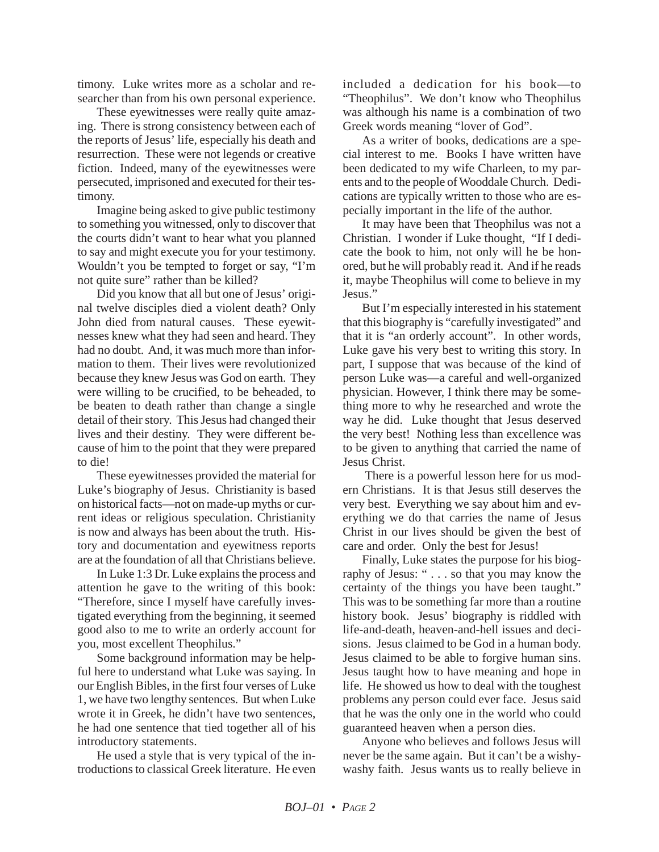timony. Luke writes more as a scholar and researcher than from his own personal experience.

These eyewitnesses were really quite amazing. There is strong consistency between each of the reports of Jesus' life, especially his death and resurrection. These were not legends or creative fiction. Indeed, many of the eyewitnesses were persecuted, imprisoned and executed for their testimony.

Imagine being asked to give public testimony to something you witnessed, only to discover that the courts didn't want to hear what you planned to say and might execute you for your testimony. Wouldn't you be tempted to forget or say, "I'm not quite sure" rather than be killed?

Did you know that all but one of Jesus' original twelve disciples died a violent death? Only John died from natural causes. These eyewitnesses knew what they had seen and heard. They had no doubt. And, it was much more than information to them. Their lives were revolutionized because they knew Jesus was God on earth. They were willing to be crucified, to be beheaded, to be beaten to death rather than change a single detail of their story. This Jesus had changed their lives and their destiny. They were different because of him to the point that they were prepared to die!

These eyewitnesses provided the material for Luke's biography of Jesus. Christianity is based on historical facts—not on made-up myths or current ideas or religious speculation. Christianity is now and always has been about the truth. History and documentation and eyewitness reports are at the foundation of all that Christians believe.

In Luke 1:3 Dr. Luke explains the process and attention he gave to the writing of this book: "Therefore, since I myself have carefully investigated everything from the beginning, it seemed good also to me to write an orderly account for you, most excellent Theophilus."

Some background information may be helpful here to understand what Luke was saying. In our English Bibles, in the first four verses of Luke 1, we have two lengthy sentences. But when Luke wrote it in Greek, he didn't have two sentences, he had one sentence that tied together all of his introductory statements.

He used a style that is very typical of the introductions to classical Greek literature. He even included a dedication for his book—to "Theophilus". We don't know who Theophilus was although his name is a combination of two Greek words meaning "lover of God".

As a writer of books, dedications are a special interest to me. Books I have written have been dedicated to my wife Charleen, to my parents and to the people of Wooddale Church. Dedications are typically written to those who are especially important in the life of the author.

It may have been that Theophilus was not a Christian. I wonder if Luke thought, "If I dedicate the book to him, not only will he be honored, but he will probably read it. And if he reads it, maybe Theophilus will come to believe in my Jesus."

But I'm especially interested in his statement that this biography is "carefully investigated" and that it is "an orderly account". In other words, Luke gave his very best to writing this story. In part, I suppose that was because of the kind of person Luke was—a careful and well-organized physician. However, I think there may be something more to why he researched and wrote the way he did. Luke thought that Jesus deserved the very best! Nothing less than excellence was to be given to anything that carried the name of Jesus Christ.

There is a powerful lesson here for us modern Christians. It is that Jesus still deserves the very best. Everything we say about him and everything we do that carries the name of Jesus Christ in our lives should be given the best of care and order. Only the best for Jesus!

Finally, Luke states the purpose for his biography of Jesus: " . . . so that you may know the certainty of the things you have been taught." This was to be something far more than a routine history book. Jesus' biography is riddled with life-and-death, heaven-and-hell issues and decisions. Jesus claimed to be God in a human body. Jesus claimed to be able to forgive human sins. Jesus taught how to have meaning and hope in life. He showed us how to deal with the toughest problems any person could ever face. Jesus said that he was the only one in the world who could guaranteed heaven when a person dies.

Anyone who believes and follows Jesus will never be the same again. But it can't be a wishywashy faith. Jesus wants us to really believe in